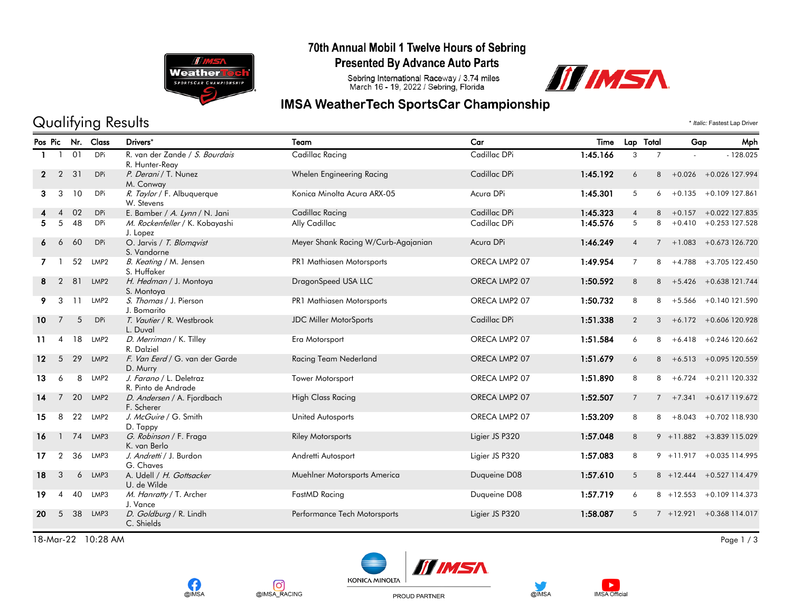

# 70th Annual Mobil 1 Twelve Hours of Sebring

**Presented By Advance Auto Parts** 

Sebring International Raceway / 3.74 miles<br>March 16 - 19, 2022 / Sebring, Florida



# **IMSA WeatherTech SportsCar Championship**

Qualifying Results \* *Italic:* Fastest Lap Driver

|                   | Pos Pic                  |    | Nr. Class        | Drivers*                                         | Team                                | Car            | Time     |                 | Lap Total      | Gap | Mph                         |
|-------------------|--------------------------|----|------------------|--------------------------------------------------|-------------------------------------|----------------|----------|-----------------|----------------|-----|-----------------------------|
|                   |                          | 01 | DPi              | R. van der Zande / S. Bourdais<br>R. Hunter-Reay | Cadillac Racing                     | Cadillac DPi   | 1:45.166 | 3               | $\overline{7}$ |     | $-128.025$                  |
| $\mathbf{2}$      | 2                        | 31 | <b>DPi</b>       | P. Derani / T. Nunez<br>M. Conway                | Whelen Engineering Racing           | Cadillac DPi   | 1:45.192 | 6               | 8              |     | $+0.026$ $+0.026$ 127.994   |
| 3                 | 3                        | 10 | <b>DPi</b>       | R. Taylor / F. Albuquerque<br>W. Stevens         | Konica Minolta Acura ARX-05         | Acura DPi      | 1:45.301 | 5               | 6              |     | $+0.135 + 0.109127.861$     |
|                   | $\overline{4}$           | 02 | <b>DPi</b>       | E. Bamber / A. Lynn / N. Jani                    | Cadillac Racing                     | Cadillac DPi   | 1:45.323 | $\overline{4}$  | 8              |     | $+0.157 + 0.022$ 127.835    |
|                   | 5                        | 48 | DPi              | M. Rockenfeller / K. Kobayashi<br>J. Lopez       | Ally Cadillac                       | Cadillac DPi   | 1:45.576 | 5               | 8              |     | $+0.410 + 0.253127.528$     |
| 6                 | 6                        | 60 | <b>DPi</b>       | O. Jarvis / T. Blomqvist<br>S. Vandorne          | Meyer Shank Racing W/Curb-Agajanian | Acura DPi      | 1:46.249 | $\overline{4}$  | $\overline{7}$ |     | $+1.083 + 0.673126.720$     |
|                   |                          | 52 | LMP <sub>2</sub> | B. Keating / M. Jensen<br>S. Huffaker            | PR1 Mathiasen Motorsports           | ORECA LMP2 07  | 1:49.954 | $\overline{7}$  |                |     | $8 + 4.788 + 3.705122.450$  |
| 8                 | $\overline{2}$           | 81 | LMP <sub>2</sub> | H. Hedman / J. Montoya<br>S. Montoya             | DragonSpeed USA LLC                 | ORECA LMP2 07  | 1:50.592 | 8               |                |     | $8 + 5.426 + 0.638121.744$  |
| 9.                | 3                        | 11 | LMP2             | S. Thomas / J. Pierson<br>J. Bomarito            | PR1 Mathiasen Motorsports           | ORECA LMP2 07  | 1:50.732 | 8               | 8              |     | +5.566 +0.140 121.590       |
| 10 <sup>°</sup>   | 7                        | 5  | <b>DPi</b>       | T. Vautier / R. Westbrook<br>L. Duval            | <b>JDC Miller MotorSports</b>       | Cadillac DPi   | 1:51.338 | $\overline{2}$  |                |     | $3 + 6.172 + 0.606120.928$  |
| 11                | $\overline{4}$           | 18 | LMP <sub>2</sub> | D. Merriman / K. Tilley<br>R. Dalziel            | Era Motorsport                      | ORECA LMP2 07  | 1:51.584 | 6               | 8              |     | $+6.418$ $+0.246$ 120.662   |
| $12 \overline{ }$ | 5                        | 29 | LMP <sub>2</sub> | F. Van Eerd / G. van der Garde<br>D. Murry       | Racing Team Nederland               | ORECA LMP2 07  | 1:51.679 | 6               |                |     | $8 + 6.513 + 0.095120.559$  |
| 13                | 6                        | 8  | LMP <sub>2</sub> | J. Farano / L. Deletraz<br>R. Pinto de Andrade   | Tower Motorsport                    | ORECA LMP2 07  | 1:51.890 | 8               | 8              |     | $+6.724 + 0.211120.332$     |
| 14                | $\overline{7}$           | 20 | LMP <sub>2</sub> | D. Andersen / A. Fjordbach<br>F. Scherer         | <b>High Class Racing</b>            | ORECA LMP2 07  | 1:52.507 | $7\overline{ }$ |                |     | $7 + 7.341 + 0.617119.672$  |
| 15                | 8                        | 22 | LMP <sub>2</sub> | J. McGuire / G. Smith<br>D. Tappy                | United Autosports                   | ORECA LMP2 07  | 1:53.209 | 8               | 8              |     | +8.043 +0.702 118.930       |
| 16                | $\mathbf{1}$             | 74 | LMP3             | G. Robinson / F. Fraga<br>K. van Berlo           | <b>Riley Motorsports</b>            | Ligier JS P320 | 1:57.048 | 8               |                |     | $9 + 11.882 + 3.839115.029$ |
| 17                | $\overline{2}$           | 36 | LMP3             | J. Andretti / J. Burdon<br>G. Chaves             | Andretti Autosport                  | Ligier JS P320 | 1:57.083 | 8               |                |     | $9 + 11.917 + 0.035114.995$ |
| 18                | 3                        | 6  | LMP3             | A. Udell / H. Gottsacker<br>U. de Wilde          | Muehlner Motorsports America        | Duqueine D08   | 1:57.610 | 5               |                |     | 8 +12.444 +0.527 114.479    |
| 19                | $\boldsymbol{\varDelta}$ | 40 | LMP3             | M. Hanratty / T. Archer<br>J. Vance              | FastMD Racing                       | Duqueine D08   | 1:57.719 | 6               |                |     | $8 + 12.553 + 0.109114.373$ |
| 20                | 5                        | 38 | LMP3             | D. Goldburg / R. Lindh<br>C. Shields             | Performance Tech Motorsports        | Ligier JS P320 | 1:58.087 | 5               |                |     | $7 + 12.921 + 0.368114.017$ |

18-Mar-22 10:28 AM Page 1 / 3







PROUD PARTNER



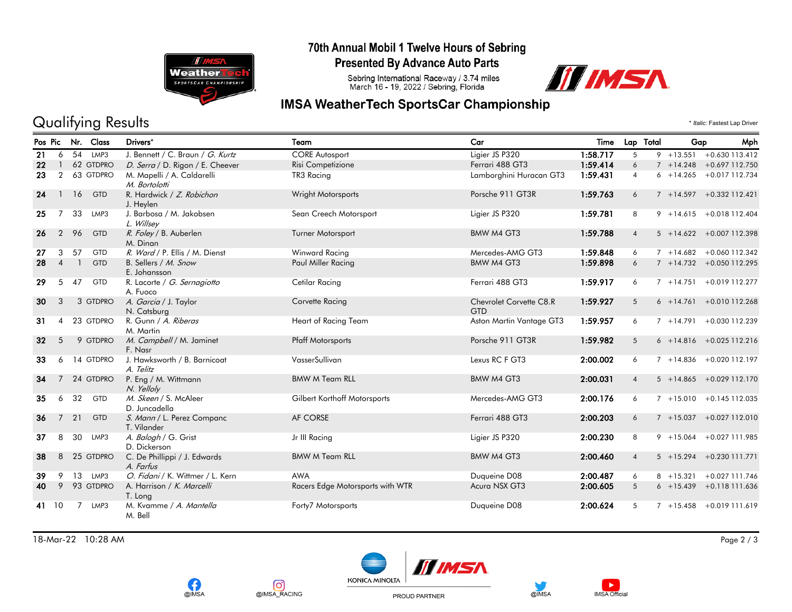

# 70th Annual Mobil 1 Twelve Hours of Sebring

**Presented By Advance Auto Parts** 

Sebring International Raceway / 3.74 miles<br>March 16 - 19, 2022 / Sebring, Florida

# III IMSA

# **IMSA WeatherTech SportsCar Championship**

# Qualifying Results  $\cdot$  *Italic:* Fastest Lap Driver

|                 |                          |                | Pos Pic Nr. Class | Drivers*                                    | Team                             | Car                                   | Time     | Lap Total      | Gap          | Mph                          |
|-----------------|--------------------------|----------------|-------------------|---------------------------------------------|----------------------------------|---------------------------------------|----------|----------------|--------------|------------------------------|
| 21              | 6                        |                | 54 LMP3           | J. Bennett / C. Braun / G. Kurtz            | <b>CORE Autosport</b>            | Ligier JS P320                        | 1:58.717 | 5              | $9 + 13.551$ | +0.630 113.412               |
| 22              |                          |                | 62 GTDPRO         | D. Serra / D. Rigon / E. Cheever            | Risi Competizione                | Ferrari 488 GT3                       | 1:59.414 | 6              |              | 7 +14.248 +0.697 112.750     |
| 23              | $\overline{2}$           |                | 63 GTDPRO         | M. Mapelli / A. Caldarelli<br>M. Bortolotti | TR3 Racing                       | Lamborghini Huracan GT3               | 1:59.431 | $\overline{4}$ |              | $6 + 14.265 + 0.017$ 112.734 |
| 24              | $\mathbf{1}$             | 16             | <b>GTD</b>        | R. Hardwick / Z. Robichon<br>J. Heylen      | Wright Motorsports               | Porsche 911 GT3R                      | 1:59.763 | 6              |              | 7 +14.597 +0.332 112.421     |
| 25              | $\overline{7}$           | 33             | LMP3              | J. Barbosa / M. Jakobsen<br>L. Willsey      | Sean Creech Motorsport           | Ligier JS P320                        | 1:59.781 | 8              |              | $9 + 14.615 + 0.018112.404$  |
| 26              | 2                        | 96             | <b>GTD</b>        | R. Foley / B. Auberlen<br>M. Dinan          | <b>Turner Motorsport</b>         | <b>BMW M4 GT3</b>                     | 1:59.788 | $\overline{4}$ |              | $5 + 14.622 + 0.007112.398$  |
| 27              | 3                        | 57             | <b>GTD</b>        | R. Ward / P. Ellis / M. Dienst              | Winward Racing                   | Mercedes-AMG GT3                      | 1:59.848 | 6              | $7 + 14.682$ | +0.060 112.342               |
| 28              | $\overline{A}$           |                | <b>GTD</b>        | B. Sellers / M. Snow<br>E. Johansson        | Paul Miller Racing               | <b>BMW M4 GT3</b>                     | 1:59.898 | 6              |              | $7 + 14.732 + 0.050112.295$  |
| 29              | 5                        | 47             | <b>GTD</b>        | R. Lacorte / G. Sernagiotto<br>A. Fuoco     | Cetilar Racing                   | Ferrari 488 GT3                       | 1:59.917 | 6              |              | $7 + 14.751 + 0.019112.277$  |
| 30              | 3                        |                | 3 GTDPRO          | A. Garcia / J. Taylor<br>N. Catsburg        | Corvette Racing                  | Chevrolet Corvette C8.R<br><b>GTD</b> | 1:59.927 | 5              | $6 + 14.761$ | $+0.010$ 112.268             |
| 31              | $\boldsymbol{\varDelta}$ |                | 23 GTDPRO         | R. Gunn / A. Riberas<br>M. Martin           | Heart of Racing Team             | Aston Martin Vantage GT3              | 1:59.957 | 6              |              | 7 +14.791 +0.030 112.239     |
| 32 <sub>2</sub> | 5                        |                | 9 GTDPRO          | M. Campbell / M. Jaminet<br>F. Nasr         | <b>Pfaff Motorsports</b>         | Porsche 911 GT3R                      | 1:59.982 | 5              |              | $6 + 14.816 + 0.025112.216$  |
| 33              | 6                        |                | 14 GTDPRO         | J. Hawksworth / B. Barnicoat<br>A. Telitz   | VasserSullivan                   | Lexus RC F GT3                        | 2:00.002 | 6              |              | $7 + 14.836 + 0.020112.197$  |
| 34              |                          |                | 24 GTDPRO         | P. Eng / M. Wittmann<br>N. Yelloly          | <b>BMW M Team RLL</b>            | BMW M4 GT3                            | 2:00.031 | $\overline{4}$ |              | $5 + 14.865 + 0.029112.170$  |
| 35              | 6                        | 32             | <b>GTD</b>        | M. Skeen / S. McAleer<br>D. Juncadella      | Gilbert Korthoff Motorsports     | Mercedes-AMG GT3                      | 2:00.176 | 6              |              | $7 + 15.010 + 0.145112.035$  |
| 36              | $\overline{7}$           | 21             | GTD               | S. Mann / L. Perez Companc<br>T. Vilander   | AF CORSE                         | Ferrari 488 GT3                       | 2:00.203 | 6              |              | 7 +15.037 +0.027 112.010     |
| 37              | 8                        | 30             | LMP3              | A. Balogh / G. Grist<br>D. Dickerson        | Jr III Racing                    | Ligier JS P320                        | 2:00.230 | 8              |              | $9 + 15.064 + 0.027111.985$  |
| 38              | 8                        |                | 25 GTDPRO         | C. De Phillippi / J. Edwards<br>A. Farfus   | <b>BMW M Team RLL</b>            | <b>BMW M4 GT3</b>                     | 2:00.460 | $\overline{4}$ |              | $5 + 15.294 + 0.230111.771$  |
| 39              | 9                        | 13             | LMP3              | O. Fidani / K. Wittmer / L. Kern            | <b>AWA</b>                       | Duqueine D08                          | 2:00.487 | 6              | $8 + 15.321$ | +0.027 111.746               |
| 40              | 9                        |                | 93 GTDPRO         | A. Harrison / K. Marcelli<br>T. Lona        | Racers Edge Motorsports with WTR | Acura NSX GT3                         | 2:00.605 | 5              |              | $6 + 15.439 + 0.118111.636$  |
| 41              | 10                       | $\overline{7}$ | LMP3              | M. Kvamme / A. Mantella<br>M. Bell          | Forty7 Motorsports               | Duqueine D08                          | 2:00.624 | 5              | $7 + 15.458$ | +0.019 111.619               |

18-Mar-22 10:28 AM Page 2 / 3